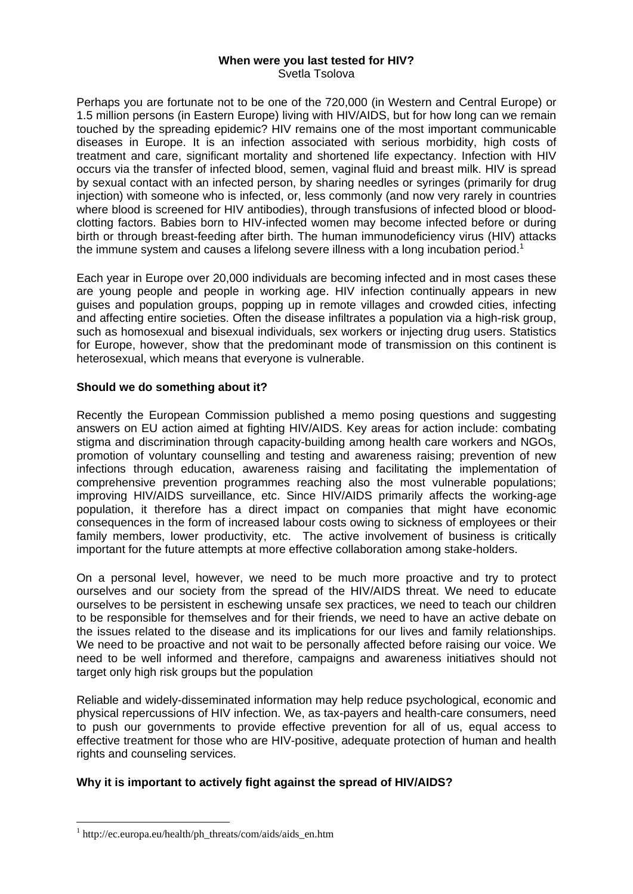## **When were you last tested for HIV?**  Svetla Tsolova

Perhaps you are fortunate not to be one of the 720,000 (in Western and Central Europe) or 1.5 million persons (in Eastern Europe) living with HIV/AIDS, but for how long can we remain touched by the spreading epidemic? HIV remains one of the most important communicable diseases in Europe. It is an infection associated with serious morbidity, high costs of treatment and care, significant mortality and shortened life expectancy. Infection with HIV occurs via the transfer of infected blood, semen, vaginal fluid and breast milk. HIV is spread by sexual contact with an infected person, by sharing needles or syringes (primarily for drug injection) with someone who is infected, or, less commonly (and now very rarely in countries where blood is screened for HIV antibodies), through transfusions of infected blood or bloodclotting factors. Babies born to HIV-infected women may become infected before or during birth or through breast-feeding after birth. The human immunodeficiency virus (HIV) attacks the immune system and causes a lifelong severe illness with a long incubation period.<sup>1</sup>

Each year in Europe over 20,000 individuals are becoming infected and in most cases these are young people and people in working age. HIV infection continually appears in new guises and population groups, popping up in remote villages and crowded cities, infecting and affecting entire societies. Often the disease infiltrates a population via a high-risk group, such as homosexual and bisexual individuals, sex workers or injecting drug users. Statistics for Europe, however, show that the predominant mode of transmission on this continent is heterosexual, which means that everyone is vulnerable.

## **Should we do something about it?**

Recently the European Commission published a memo posing questions and suggesting answers on EU action aimed at fighting HIV/AIDS. Key areas for action include: combating stigma and discrimination through capacity-building among health care workers and NGOs, promotion of voluntary counselling and testing and awareness raising; prevention of new infections through education, awareness raising and facilitating the implementation of comprehensive prevention programmes reaching also the most vulnerable populations; improving HIV/AIDS surveillance, etc. Since HIV/AIDS primarily affects the working-age population, it therefore has a direct impact on companies that might have economic consequences in the form of increased labour costs owing to sickness of employees or their family members, lower productivity, etc. The active involvement of business is critically important for the future attempts at more effective collaboration among stake-holders.

On a personal level, however, we need to be much more proactive and try to protect ourselves and our society from the spread of the HIV/AIDS threat. We need to educate ourselves to be persistent in eschewing unsafe sex practices, we need to teach our children to be responsible for themselves and for their friends, we need to have an active debate on the issues related to the disease and its implications for our lives and family relationships. We need to be proactive and not wait to be personally affected before raising our voice. We need to be well informed and therefore, campaigns and awareness initiatives should not target only high risk groups but the population

Reliable and widely-disseminated information may help reduce psychological, economic and physical repercussions of HIV infection. We, as tax-payers and health-care consumers, need to push our governments to provide effective prevention for all of us, equal access to effective treatment for those who are HIV-positive, adequate protection of human and health rights and counseling services.

## **Why it is important to actively fight against the spread of HIV/AIDS?**

<u>.</u>

<sup>1</sup> http://ec.europa.eu/health/ph\_threats/com/aids/aids\_en.htm